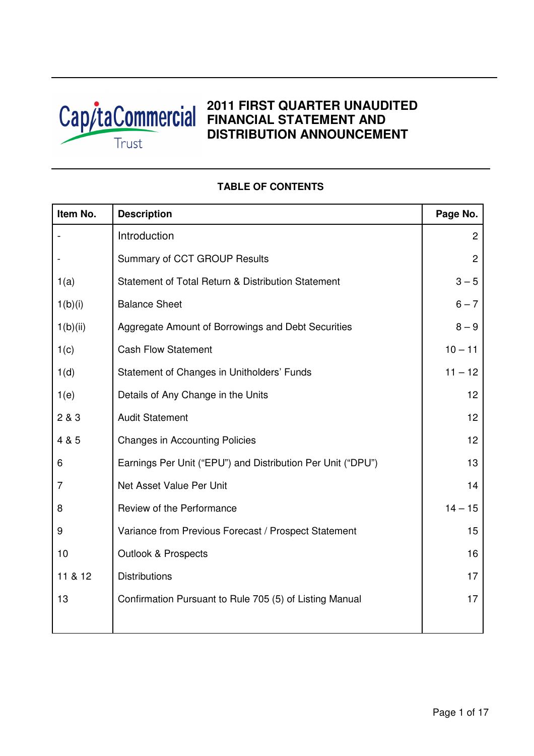

# **2011 FIRST QUARTER UNAUDITED FINANCIAL STATEMENT AND DISTRIBUTION ANNOUNCEMENT**

# **Item No.** Description **Page No. Page No.** - Introduction 2 and 2 and 2 and 2 and 2 and 2 and 2 and 2 and 2 and 2 and 2 and 2 and 2 and 2 and 2 and 2 and 2 and 2 and 2 and 2 and 2 and 2 and 2 and 2 and 2 and 2 and 2 and 2 and 2 and 2 and 2 and 2 and 2 and 2 and 2 a Summary of CCT GROUP Results **2** 2 1(a) Statement of Total Return & Distribution Statement 1 (3 – 5  $1(b)(i)$  Balance Sheet 6 – 7 1(b)(ii) | Aggregate Amount of Borrowings and Debt Securities | 8 – 9 1(c) Cash Flow Statement 10 – 11 1(d) Statement of Changes in Unitholders' Funds 11 – 12 1(e) Details of Any Change in the Units 12 2 & 3 Audit Statement 12 4 & 5 Changes in Accounting Policies 12 6 Earnings Per Unit ("EPU") and Distribution Per Unit ("DPU") 13 7 **Net Asset Value Per Unit 14** and 14 and 14 and 14 and 14 and 14 and 14 and 14 and 14 and 14 and 14 and 14 and 14 and 14 and 14 and 14 and 14 and 14 and 14 and 14 and 14 and 15 and 16 and 16 and 16 and 16 and 16 and 16 a 8 Review of the Performance 14 – 15 9 Variance from Previous Forecast / Prospect Statement 15 10 Outlook & Prospects 16 11 & 12 Distributions 17 13 **Confirmation Pursuant to Rule 705 (5) of Listing Manual** 17

# **TABLE OF CONTENTS**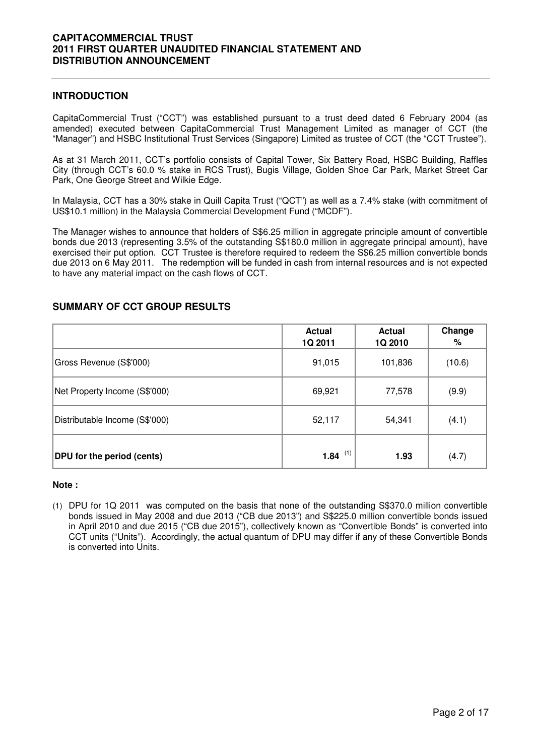#### **INTRODUCTION**

CapitaCommercial Trust ("CCT") was established pursuant to a trust deed dated 6 February 2004 (as amended) executed between CapitaCommercial Trust Management Limited as manager of CCT (the "Manager") and HSBC Institutional Trust Services (Singapore) Limited as trustee of CCT (the "CCT Trustee").

As at 31 March 2011, CCT's portfolio consists of Capital Tower, Six Battery Road, HSBC Building, Raffles City (through CCT's 60.0 % stake in RCS Trust), Bugis Village, Golden Shoe Car Park, Market Street Car Park, One George Street and Wilkie Edge.

In Malaysia, CCT has a 30% stake in Quill Capita Trust ("QCT") as well as a 7.4% stake (with commitment of US\$10.1 million) in the Malaysia Commercial Development Fund ("MCDF").

The Manager wishes to announce that holders of S\$6.25 million in aggregate principle amount of convertible bonds due 2013 (representing 3.5% of the outstanding S\$180.0 million in aggregate principal amount), have exercised their put option. CCT Trustee is therefore required to redeem the S\$6.25 million convertible bonds due 2013 on 6 May 2011. The redemption will be funded in cash from internal resources and is not expected to have any material impact on the cash flows of CCT.

|                                   | <b>Actual</b><br>1Q 2011 | <b>Actual</b><br>1Q 2010 | Change<br>% |
|-----------------------------------|--------------------------|--------------------------|-------------|
| Gross Revenue (S\$'000)           | 91,015                   | 101,836                  | (10.6)      |
| Net Property Income (S\$'000)     | 69,921                   | 77,578                   | (9.9)       |
| Distributable Income (S\$'000)    | 52,117                   | 54,341                   | (4.1)       |
| <b>DPU</b> for the period (cents) | <b>1.84</b> $(1)$        | 1.93                     | (4.7)       |

#### **SUMMARY OF CCT GROUP RESULTS**

#### **Note :**

(1) DPU for 1Q 2011 was computed on the basis that none of the outstanding S\$370.0 million convertible bonds issued in May 2008 and due 2013 ("CB due 2013") and S\$225.0 million convertible bonds issued in April 2010 and due 2015 ("CB due 2015"), collectively known as "Convertible Bonds" is converted into CCT units ("Units"). Accordingly, the actual quantum of DPU may differ if any of these Convertible Bonds is converted into Units.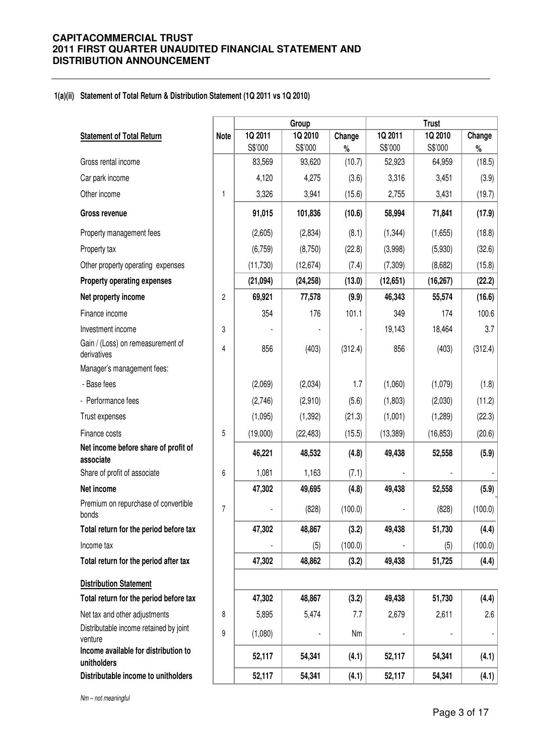#### **1(a)(ii) Statement of Total Return & Distribution Statement (1Q 2011 vs 1Q 2010)**

|                                                     |                |           | Group     |         |           | <b>Trust</b> |         |
|-----------------------------------------------------|----------------|-----------|-----------|---------|-----------|--------------|---------|
| <b>Statement of Total Return</b>                    | <b>Note</b>    | 1Q 2011   | 1Q 2010   | Change  | 1Q 2011   | 1Q 2010      | Change  |
|                                                     |                | S\$'000   | S\$'000   | $\%$    | S\$'000   | S\$'000      | $\%$    |
| Gross rental income                                 |                | 83,569    | 93,620    | (10.7)  | 52,923    | 64,959       | (18.5)  |
| Car park income                                     |                | 4,120     | 4,275     | (3.6)   | 3,316     | 3,451        | (3.9)   |
| Other income                                        | $\mathbf{1}$   | 3,326     | 3,941     | (15.6)  | 2,755     | 3,431        | (19.7)  |
| <b>Gross revenue</b>                                |                | 91,015    | 101,836   | (10.6)  | 58,994    | 71,841       | (17.9)  |
| Property management fees                            |                | (2,605)   | (2,834)   | (8.1)   | (1, 344)  | (1,655)      | (18.8)  |
| Property tax                                        |                | (6, 759)  | (8,750)   | (22.8)  | (3,998)   | (5,930)      | (32.6)  |
| Other property operating expenses                   |                | (11, 730) | (12, 674) | (7.4)   | (7, 309)  | (8,682)      | (15.8)  |
| Property operating expenses                         |                | (21, 094) | (24, 258) | (13.0)  | (12, 651) | (16, 267)    | (22.2)  |
| Net property income                                 | $\overline{c}$ | 69,921    | 77,578    | (9.9)   | 46,343    | 55,574       | (16.6)  |
| Finance income                                      |                | 354       | 176       | 101.1   | 349       | 174          | 100.6   |
| Investment income                                   | 3              |           |           |         | 19,143    | 18,464       | 3.7     |
| Gain / (Loss) on remeasurement of<br>derivatives    | 4              | 856       | (403)     | (312.4) | 856       | (403)        | (312.4) |
| Manager's management fees:                          |                |           |           |         |           |              |         |
| - Base fees                                         |                | (2,069)   | (2,034)   | 1.7     | (1,060)   | (1,079)      | (1.8)   |
| - Performance fees                                  |                | (2,746)   | (2,910)   | (5.6)   | (1,803)   | (2,030)      | (11.2)  |
| Trust expenses                                      |                | (1,095)   | (1, 392)  | (21.3)  | (1,001)   | (1,289)      | (22.3)  |
| Finance costs                                       | 5              | (19,000)  | (22, 483) | (15.5)  | (13, 389) | (16, 853)    | (20.6)  |
| Net income before share of profit of<br>associate   |                | 46,221    | 48,532    | (4.8)   | 49,438    | 52,558       | (5.9)   |
| Share of profit of associate                        | 6              | 1,081     | 1,163     | (7.1)   |           |              |         |
| Net income                                          |                | 47,302    | 49,695    | (4.8)   | 49,438    | 52,558       | (5.9)   |
| Premium on repurchase of convertible<br>bonds       | $\overline{7}$ |           | (828)     | (100.0) |           | (828)        | (100.0) |
| Total return for the period before tax              |                | 47,302    | 48,867    | (3.2)   | 49,438    | 51,730       | (4.4)   |
| Income tax                                          |                |           | (5)       | (100.0) |           | (5)          | (100.0) |
| Total return for the period after tax               |                | 47,302    | 48,862    | (3.2)   | 49,438    | 51,725       | (4.4)   |
| <b>Distribution Statement</b>                       |                |           |           |         |           |              |         |
| Total return for the period before tax              |                | 47,302    | 48,867    | (3.2)   | 49,438    | 51,730       | (4.4)   |
| Net tax and other adjustments                       | 8              | 5,895     | 5,474     | 7.7     | 2,679     | 2,611        | 2.6     |
| Distributable income retained by joint<br>venture   | 9              | (1,080)   |           | Nm      |           |              |         |
| Income available for distribution to<br>unitholders |                | 52,117    | 54,341    | (4.1)   | 52,117    | 54,341       | (4.1)   |
| Distributable income to unitholders                 |                | 52,117    | 54,341    | (4.1)   | 52,117    | 54,341       | (4.1)   |

Nm – not meaningful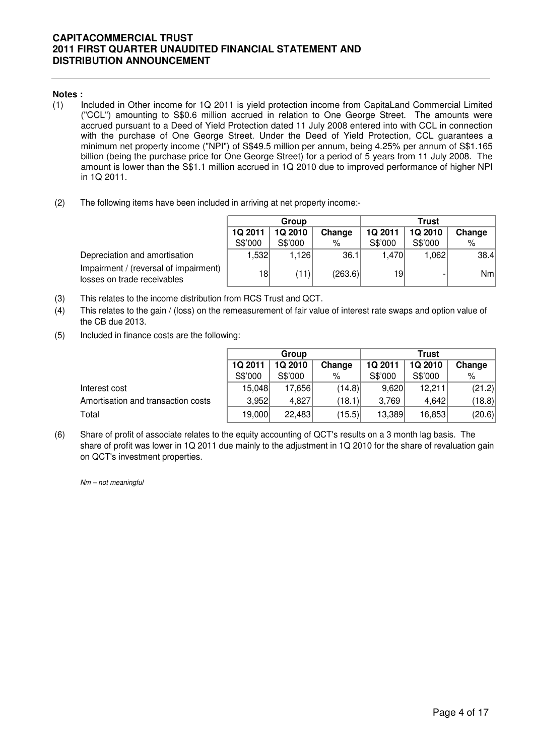#### **Notes :**

- (1) Included in Other income for 1Q 2011 is yield protection income from CapitaLand Commercial Limited ("CCL") amounting to S\$0.6 million accrued in relation to One George Street. The amounts were accrued pursuant to a Deed of Yield Protection dated 11 July 2008 entered into with CCL in connection with the purchase of One George Street. Under the Deed of Yield Protection, CCL guarantees a minimum net property income ("NPI") of S\$49.5 million per annum, being 4.25% per annum of S\$1.165 billion (being the purchase price for One George Street) for a period of 5 years from 11 July 2008. The amount is lower than the S\$1.1 milIion accrued in 1Q 2010 due to improved performance of higher NPI in 1Q 2011.
- (2) The following items have been included in arriving at net property income:-

|                                                                      | Group           |         |         | Trust   |                |        |  |
|----------------------------------------------------------------------|-----------------|---------|---------|---------|----------------|--------|--|
|                                                                      | 1Q 2011         | 1Q 2010 | Change  | 1Q 2011 | <b>1Q 2010</b> | Change |  |
|                                                                      | S\$'000         | S\$'000 | %       | S\$'000 | S\$'000        | %      |  |
| Depreciation and amortisation                                        | ,532            | 1.126   | 36.1    | 1,470   | 1,062          | 38.4   |  |
| Impairment / (reversal of impairment)<br>losses on trade receivables | 18 <sup>°</sup> | (11)    | (263.6) | 19      |                | Nm     |  |

- (3) This relates to the income distribution from RCS Trust and QCT.
- (4) This relates to the gain / (loss) on the remeasurement of fair value of interest rate swaps and option value of the CB due 2013.
- (5) Included in finance costs are the following:

|                                    | Group   |         |        | Trust   |                |        |  |
|------------------------------------|---------|---------|--------|---------|----------------|--------|--|
|                                    | 1Q 2011 | 1Q 2010 | Change | 1Q 2011 | <b>1Q 2010</b> | Change |  |
|                                    | S\$'000 | S\$'000 | %      | S\$'000 | S\$'000        | $\%$   |  |
| Interest cost                      | 15,048  | 17.656  | (14.8) | 9,620   | 12,211         | (21.2) |  |
| Amortisation and transaction costs | 3,952   | 4,827   | (18.1) | 3,769   | 4.642          | (18.8) |  |
| Total                              | 19,000  | 22,483  | (15.5) | 13,389  | 16,853         | (20.6) |  |

(6) Share of profit of associate relates to the equity accounting of QCT's results on a 3 month lag basis. The share of profit was lower in 1Q 2011 due mainly to the adjustment in 1Q 2010 for the share of revaluation gain on QCT's investment properties.

Nm – not meaningful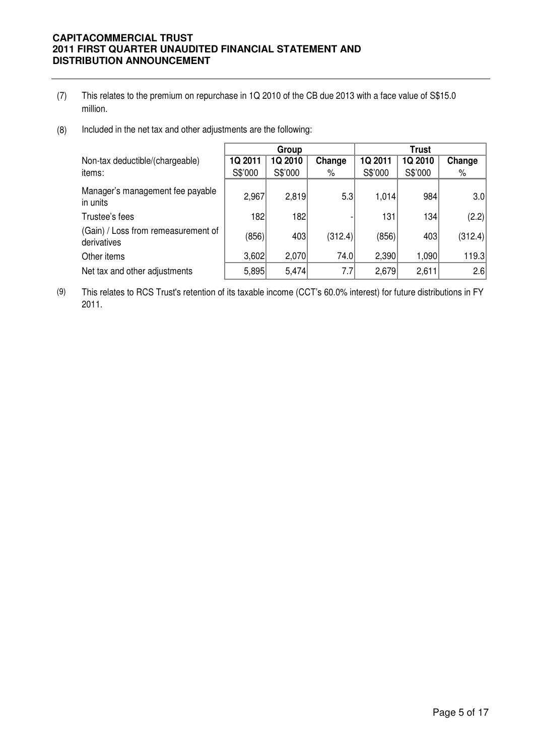- (7) million. This relates to the premium on repurchase in 1Q 2010 of the CB due 2013 with a face value of S\$15.0
- (8) Included in the net tax and other adjustments are the following:

|                                                    | Group   |         |         | <b>Trust</b> |         |         |
|----------------------------------------------------|---------|---------|---------|--------------|---------|---------|
| Non-tax deductible/(chargeable)                    | 1Q 2011 | 1Q 2010 | Change  | 1Q 2011      | 1Q 2010 | Change  |
| items:                                             | S\$'000 | S\$'000 | $\%$    | S\$'000      | S\$'000 | %       |
| Manager's management fee payable<br>in units       | 2,967   | 2,819   | 5.3     | 1,014        | 984     | 3.0     |
| Trustee's fees                                     | 182     | 182     |         | 131          | 134     | (2.2)   |
| (Gain) / Loss from remeasurement of<br>derivatives | (856)   | 403     | (312.4) | (856)        | 403     | (312.4) |
| Other items                                        | 3,602   | 2,070   | 74.0    | 2,390        | 1,090   | 119.3   |
| Net tax and other adjustments                      | 5,895   | 5,474   | 7.7     | 2,679        | 2,611   | 2.6     |

(9) This relates to RCS Trust's retention of its taxable income (CCT's 60.0% interest) for future distributions in FY 2011.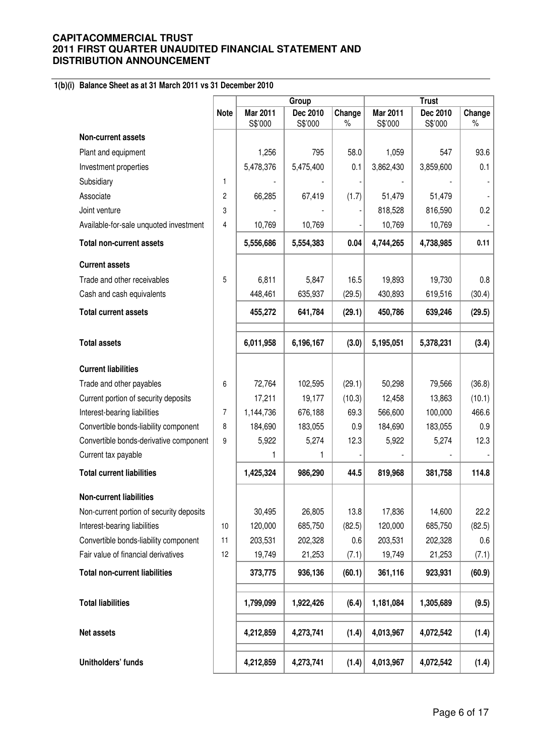# **1(b)(i) Balance Sheet as at 31 March 2011 vs 31 December 2010**

|                                          |                |                     | Group               |                | <b>Trust</b>        |                     |                |  |
|------------------------------------------|----------------|---------------------|---------------------|----------------|---------------------|---------------------|----------------|--|
|                                          | <b>Note</b>    | Mar 2011<br>S\$'000 | Dec 2010<br>S\$'000 | Change<br>$\%$ | Mar 2011<br>S\$'000 | Dec 2010<br>S\$'000 | Change<br>$\%$ |  |
| <b>Non-current assets</b>                |                |                     |                     |                |                     |                     |                |  |
| Plant and equipment                      |                | 1,256               | 795                 | 58.0           | 1,059               | 547                 | 93.6           |  |
| Investment properties                    |                | 5,478,376           | 5,475,400           | 0.1            | 3,862,430           | 3,859,600           | 0.1            |  |
| Subsidiary                               | 1              |                     |                     |                |                     |                     |                |  |
| Associate                                | $\overline{c}$ | 66,285              | 67,419              | (1.7)          | 51,479              | 51,479              |                |  |
| Joint venture                            | 3              |                     |                     |                | 818,528             | 816,590             | 0.2            |  |
| Available-for-sale unquoted investment   | $\overline{4}$ | 10,769              | 10,769              |                | 10,769              | 10,769              |                |  |
| <b>Total non-current assets</b>          |                | 5,556,686           | 5,554,383           | 0.04           | 4,744,265           | 4,738,985           | 0.11           |  |
| <b>Current assets</b>                    |                |                     |                     |                |                     |                     |                |  |
| Trade and other receivables              | 5              | 6,811               | 5,847               | 16.5           | 19,893              | 19,730              | 0.8            |  |
| Cash and cash equivalents                |                | 448,461             | 635,937             | (29.5)         | 430,893             | 619,516             | (30.4)         |  |
| <b>Total current assets</b>              |                | 455,272             | 641,784             | (29.1)         | 450,786             | 639,246             | (29.5)         |  |
| <b>Total assets</b>                      |                | 6,011,958           | 6,196,167           | (3.0)          | 5,195,051           | 5,378,231           | (3.4)          |  |
| <b>Current liabilities</b>               |                |                     |                     |                |                     |                     |                |  |
| Trade and other payables                 | 6              | 72,764              | 102,595             | (29.1)         | 50,298              | 79,566              | (36.8)         |  |
| Current portion of security deposits     |                | 17,211              | 19,177              | (10.3)         | 12,458              | 13,863              | (10.1)         |  |
| Interest-bearing liabilities             | $\overline{7}$ | 1,144,736           | 676,188             | 69.3           | 566,600             | 100,000             | 466.6          |  |
| Convertible bonds-liability component    | 8              | 184,690             | 183,055             | 0.9            | 184,690             | 183,055             | 0.9            |  |
| Convertible bonds-derivative component   | 9              | 5,922               | 5,274               | 12.3           | 5,922               | 5,274               | 12.3           |  |
| Current tax payable                      |                | 1                   | 1                   |                |                     |                     |                |  |
| <b>Total current liabilities</b>         |                | 1,425,324           | 986,290             | 44.5           | 819,968             | 381,758             | 114.8          |  |
| <b>Non-current liabilities</b>           |                |                     |                     |                |                     |                     |                |  |
| Non-current portion of security deposits |                | 30,495              | 26,805              | 13.8           | 17,836              | 14,600              | 22.2           |  |
| Interest-bearing liabilities             | 10             | 120,000             | 685,750             | (82.5)         | 120,000             | 685,750             | (82.5)         |  |
| Convertible bonds-liability component    | 11             | 203,531             | 202,328             | 0.6            | 203,531             | 202,328             | 0.6            |  |
| Fair value of financial derivatives      | 12             | 19,749              | 21,253              | (7.1)          | 19,749              | 21,253              | (7.1)          |  |
| <b>Total non-current liabilities</b>     |                | 373,775             | 936,136             | (60.1)         | 361,116             | 923,931             | (60.9)         |  |
| <b>Total liabilities</b>                 |                | 1,799,099           | 1,922,426           | (6.4)          | 1,181,084           | 1,305,689           | (9.5)          |  |
| <b>Net assets</b>                        |                | 4,212,859           | 4,273,741           | (1.4)          | 4,013,967           | 4,072,542           | (1.4)          |  |
| Unitholders' funds                       |                | 4,212,859           | 4,273,741           | (1.4)          | 4,013,967           | 4,072,542           | (1.4)          |  |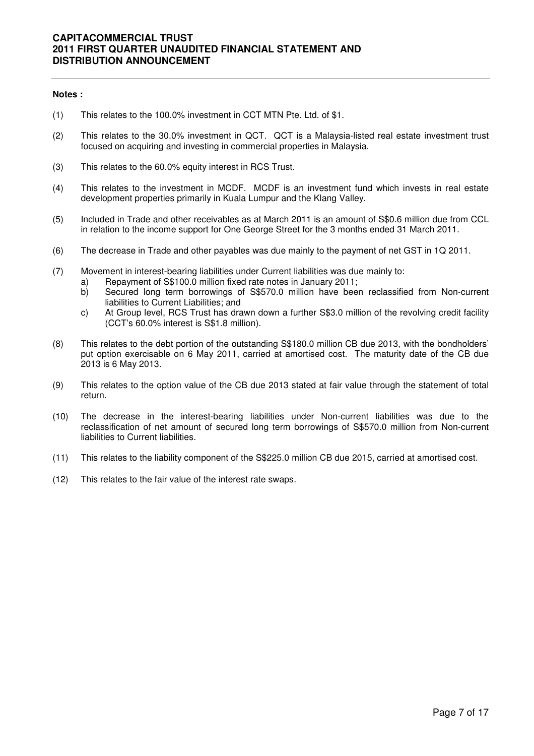#### **Notes :**

- (1) This relates to the 100.0% investment in CCT MTN Pte. Ltd. of \$1.
- (2) This relates to the 30.0% investment in QCT. QCT is a Malaysia-listed real estate investment trust focused on acquiring and investing in commercial properties in Malaysia.
- (3) This relates to the 60.0% equity interest in RCS Trust.
- (4) This relates to the investment in MCDF. MCDF is an investment fund which invests in real estate development properties primarily in Kuala Lumpur and the Klang Valley.
- (5) Included in Trade and other receivables as at March 2011 is an amount of S\$0.6 million due from CCL in relation to the income support for One George Street for the 3 months ended 31 March 2011.
- (6) The decrease in Trade and other payables was due mainly to the payment of net GST in 1Q 2011.
- (7) Movement in interest-bearing liabilities under Current liabilities was due mainly to:
	- a) Repayment of S\$100.0 million fixed rate notes in January 2011;
	- b) Secured long term borrowings of S\$570.0 million have been reclassified from Non-current liabilities to Current Liabilities; and
	- c) At Group level, RCS Trust has drawn down a further S\$3.0 million of the revolving credit facility (CCT's 60.0% interest is S\$1.8 million).
- (8) This relates to the debt portion of the outstanding S\$180.0 million CB due 2013, with the bondholders' put option exercisable on 6 May 2011, carried at amortised cost. The maturity date of the CB due 2013 is 6 May 2013.
- (9) This relates to the option value of the CB due 2013 stated at fair value through the statement of total return.
- (10) The decrease in the interest-bearing liabilities under Non-current liabilities was due to the reclassification of net amount of secured long term borrowings of S\$570.0 million from Non-current liabilities to Current liabilities.
- (11) This relates to the liability component of the S\$225.0 million CB due 2015, carried at amortised cost.
- (12) This relates to the fair value of the interest rate swaps.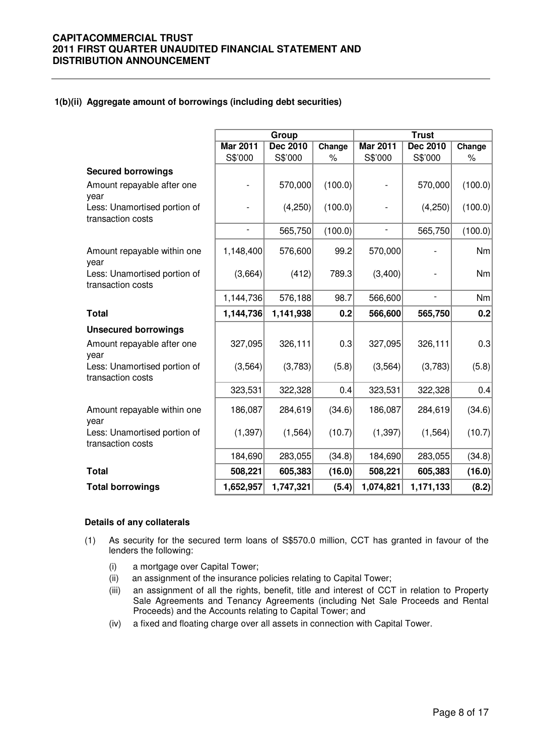### **1(b)(ii) Aggregate amount of borrowings (including debt securities)**

|                                                   |                          | Group           |         | <b>Trust</b>    |                          |         |  |
|---------------------------------------------------|--------------------------|-----------------|---------|-----------------|--------------------------|---------|--|
|                                                   | <b>Mar 2011</b>          | <b>Dec 2010</b> | Change  | <b>Mar 2011</b> | <b>Dec 2010</b>          | Change  |  |
|                                                   | S\$'000                  | S\$'000         | $\%$    | S\$'000         | S\$'000                  | $\%$    |  |
| <b>Secured borrowings</b>                         |                          |                 |         |                 |                          |         |  |
| Amount repayable after one<br>year                |                          | 570,000         | (100.0) |                 | 570,000                  | (100.0) |  |
| Less: Unamortised portion of<br>transaction costs |                          | (4,250)         | (100.0) |                 | (4,250)                  | (100.0) |  |
|                                                   | $\overline{\phantom{a}}$ | 565,750         | (100.0) | ÷,              | 565,750                  | (100.0) |  |
| Amount repayable within one<br>year               | 1,148,400                | 576,600         | 99.2    | 570,000         |                          | Nm      |  |
| Less: Unamortised portion of<br>transaction costs | (3,664)                  | (412)           | 789.3   | (3,400)         |                          | Nm      |  |
|                                                   | 1,144,736                | 576,188         | 98.7    | 566,600         | $\overline{\phantom{0}}$ | Nm      |  |
| <b>Total</b>                                      | 1,144,736                | 1,141,938       | 0.2     | 566,600         | 565,750                  | 0.2     |  |
| <b>Unsecured borrowings</b>                       |                          |                 |         |                 |                          |         |  |
| Amount repayable after one<br>year                | 327,095                  | 326,111         | 0.3     | 327,095         | 326,111                  | 0.3     |  |
| Less: Unamortised portion of<br>transaction costs | (3, 564)                 | (3,783)         | (5.8)   | (3, 564)        | (3,783)                  | (5.8)   |  |
|                                                   | 323,531                  | 322,328         | 0.4     | 323,531         | 322,328                  | 0.4     |  |
| Amount repayable within one<br>year               | 186,087                  | 284,619         | (34.6)  | 186,087         | 284,619                  | (34.6)  |  |
| Less: Unamortised portion of<br>transaction costs | (1, 397)                 | (1, 564)        | (10.7)  | (1, 397)        | (1, 564)                 | (10.7)  |  |
|                                                   | 184,690                  | 283,055         | (34.8)  | 184,690         | 283,055                  | (34.8)  |  |
| <b>Total</b>                                      | 508,221                  | 605,383         | (16.0)  | 508,221         | 605,383                  | (16.0)  |  |
| <b>Total borrowings</b>                           | 1,652,957                | 1,747,321       | (5.4)   | 1,074,821       | 1,171,133                | (8.2)   |  |

#### **Details of any collaterals**

- (1) As security for the secured term loans of S\$570.0 million, CCT has granted in favour of the lenders the following:
	- (i) a mortgage over Capital Tower;
	- (ii) an assignment of the insurance policies relating to Capital Tower;
	- (iii) an assignment of all the rights, benefit, title and interest of CCT in relation to Property Sale Agreements and Tenancy Agreements (including Net Sale Proceeds and Rental Proceeds) and the Accounts relating to Capital Tower; and
	- (iv) a fixed and floating charge over all assets in connection with Capital Tower.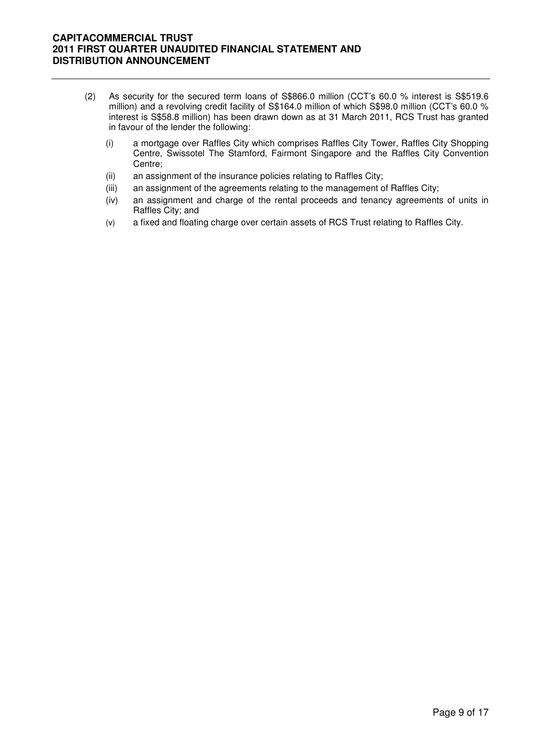- (2) As security for the secured term loans of S\$866.0 million (CCT's 60.0 % interest is S\$519.6 million) and a revolving credit facility of S\$164.0 million of which S\$98.0 million (CCT's 60.0 % interest is S\$58.8 million) has been drawn down as at 31 March 2011, RCS Trust has granted in favour of the lender the following:
	- (i) a mortgage over Raffles City which comprises Raffles City Tower, Raffles City Shopping Centre, Swissotel The Stamford, Fairmont Singapore and the Raffles City Convention Centre;
	- (ii) an assignment of the insurance policies relating to Raffles City;
	- (iii) an assignment of the agreements relating to the management of Raffles City;
	- (iv) an assignment and charge of the rental proceeds and tenancy agreements of units in Raffles City; and
	- (v) a fixed and floating charge over certain assets of RCS Trust relating to Raffles City.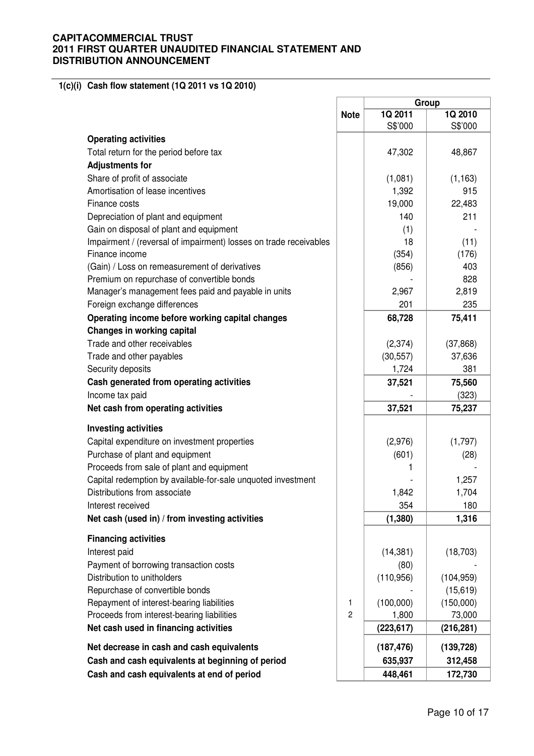**1(c)(i) Cash flow statement (1Q 2011 vs 1Q 2010)**

|                                                                   |                | Group              |                    |  |
|-------------------------------------------------------------------|----------------|--------------------|--------------------|--|
|                                                                   | <b>Note</b>    | 1Q 2011<br>S\$'000 | 1Q 2010<br>S\$'000 |  |
| <b>Operating activities</b>                                       |                |                    |                    |  |
| Total return for the period before tax                            |                | 47,302             | 48,867             |  |
| <b>Adjustments for</b>                                            |                |                    |                    |  |
| Share of profit of associate                                      |                | (1,081)            | (1, 163)           |  |
| Amortisation of lease incentives                                  |                | 1,392              | 915                |  |
| Finance costs                                                     |                | 19,000             | 22,483             |  |
| Depreciation of plant and equipment                               |                | 140                | 211                |  |
| Gain on disposal of plant and equipment                           |                | (1)                |                    |  |
| Impairment / (reversal of impairment) losses on trade receivables |                | 18                 | (11)               |  |
| Finance income                                                    |                | (354)              | (176)              |  |
| (Gain) / Loss on remeasurement of derivatives                     |                | (856)              | 403                |  |
| Premium on repurchase of convertible bonds                        |                |                    | 828                |  |
| Manager's management fees paid and payable in units               |                | 2,967              | 2,819              |  |
| Foreign exchange differences                                      |                | 201                | 235                |  |
| Operating income before working capital changes                   |                | 68,728             | 75,411             |  |
| <b>Changes in working capital</b>                                 |                |                    |                    |  |
| Trade and other receivables                                       |                | (2, 374)           | (37, 868)          |  |
| Trade and other payables                                          |                | (30, 557)          | 37,636             |  |
| Security deposits                                                 |                | 1,724              | 381                |  |
| Cash generated from operating activities                          |                | 37,521             | 75,560             |  |
| Income tax paid                                                   |                |                    | (323)              |  |
| Net cash from operating activities                                |                | 37,521             | 75,237             |  |
| <b>Investing activities</b>                                       |                |                    |                    |  |
| Capital expenditure on investment properties                      |                | (2,976)            | (1,797)            |  |
| Purchase of plant and equipment                                   |                | (601)              | (28)               |  |
| Proceeds from sale of plant and equipment                         |                | 1                  |                    |  |
| Capital redemption by available-for-sale unquoted investment      |                |                    | 1,257              |  |
| Distributions from associate                                      |                | 1,842              | 1,704              |  |
| Interest received                                                 |                | 354                | 180                |  |
| Net cash (used in) / from investing activities                    |                | (1, 380)           | 1,316              |  |
| <b>Financing activities</b>                                       |                |                    |                    |  |
| Interest paid                                                     |                | (14, 381)          | (18, 703)          |  |
| Payment of borrowing transaction costs                            |                | (80)               |                    |  |
| Distribution to unitholders                                       |                | (110, 956)         | (104, 959)         |  |
| Repurchase of convertible bonds                                   |                |                    | (15, 619)          |  |
| Repayment of interest-bearing liabilities                         | 1              | (100,000)          | (150,000)          |  |
| Proceeds from interest-bearing liabilities                        | $\overline{c}$ | 1,800              | 73,000             |  |
| Net cash used in financing activities                             |                | (223, 617)         | (216, 281)         |  |
| Net decrease in cash and cash equivalents                         |                | (187, 476)         | (139, 728)         |  |
| Cash and cash equivalents at beginning of period                  |                | 635,937            | 312,458            |  |
| Cash and cash equivalents at end of period                        |                | 448,461            | 172,730            |  |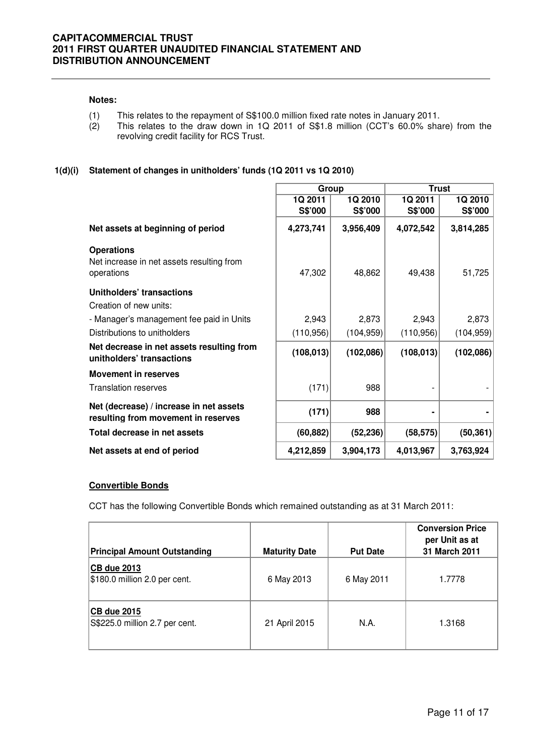#### **Notes:**

- (1) This relates to the repayment of S\$100.0 million fixed rate notes in January 2011.
- (2) This relates to the draw down in 1Q 2011 of S\$1.8 million (CCT's 60.0% share) from the revolving credit facility for RCS Trust.

### **1(d)(i) Statement of changes in unitholders' funds (1Q 2011 vs 1Q 2010)**

|                                                                                | Group      |            | <b>Trust</b> |            |  |
|--------------------------------------------------------------------------------|------------|------------|--------------|------------|--|
|                                                                                | 1Q 2011    | 1Q 2010    | 1Q 2011      | 1Q 2010    |  |
|                                                                                | S\$'000    | S\$'000    | S\$'000      | S\$'000    |  |
| Net assets at beginning of period                                              | 4,273,741  | 3,956,409  | 4,072,542    | 3,814,285  |  |
| <b>Operations</b>                                                              |            |            |              |            |  |
| Net increase in net assets resulting from<br>operations                        | 47,302     | 48,862     | 49,438       | 51,725     |  |
| Unitholders' transactions                                                      |            |            |              |            |  |
| Creation of new units:                                                         |            |            |              |            |  |
| - Manager's management fee paid in Units                                       | 2,943      | 2,873      | 2,943        | 2,873      |  |
| Distributions to unitholders                                                   | (110, 956) | (104, 959) | (110, 956)   | (104, 959) |  |
| Net decrease in net assets resulting from<br>unitholders' transactions         | (108, 013) | (102,086)  | (108, 013)   | (102,086)  |  |
| <b>Movement in reserves</b>                                                    |            |            |              |            |  |
| <b>Translation reserves</b>                                                    | (171)      | 988        |              |            |  |
| Net (decrease) / increase in net assets<br>resulting from movement in reserves | (171)      | 988        |              |            |  |
| Total decrease in net assets                                                   | (60, 882)  | (52, 236)  | (58, 575)    | (50, 361)  |  |
| Net assets at end of period                                                    | 4,212,859  | 3,904,173  | 4,013,967    | 3,763,924  |  |

#### **Convertible Bonds**

CCT has the following Convertible Bonds which remained outstanding as at 31 March 2011:

| <b>Principal Amount Outstanding</b>                 | <b>Maturity Date</b> | <b>Put Date</b> | <b>Conversion Price</b><br>per Unit as at<br>31 March 2011 |
|-----------------------------------------------------|----------------------|-----------------|------------------------------------------------------------|
| <b>CB due 2013</b><br>\$180.0 million 2.0 per cent. | 6 May 2013           | 6 May 2011      | 1.7778                                                     |
| CB due 2015<br>S\$225.0 million 2.7 per cent.       | 21 April 2015        | N.A.            | 1.3168                                                     |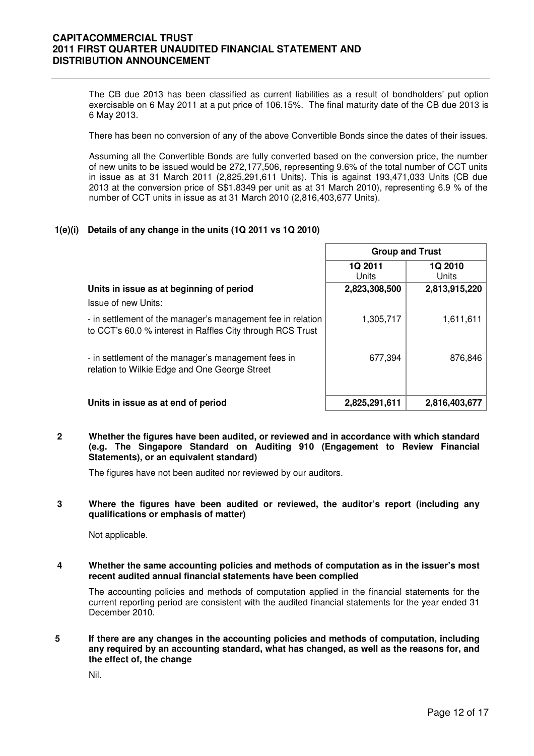The CB due 2013 has been classified as current liabilities as a result of bondholders' put option exercisable on 6 May 2011 at a put price of 106.15%. The final maturity date of the CB due 2013 is 6 May 2013.

There has been no conversion of any of the above Convertible Bonds since the dates of their issues.

Assuming all the Convertible Bonds are fully converted based on the conversion price, the number of new units to be issued would be 272,177,506, representing 9.6% of the total number of CCT units in issue as at 31 March 2011 (2,825,291,611 Units). This is against 193,471,033 Units (CB due 2013 at the conversion price of S\$1.8349 per unit as at 31 March 2010), representing 6.9 % of the number of CCT units in issue as at 31 March 2010 (2,816,403,677 Units).

### **1(e)(i) Details of any change in the units (1Q 2011 vs 1Q 2010)**

|                                                                                                                           | <b>Group and Trust</b> |                  |  |
|---------------------------------------------------------------------------------------------------------------------------|------------------------|------------------|--|
|                                                                                                                           | 1Q 2011<br>Units       | 1Q 2010<br>Units |  |
| Units in issue as at beginning of period                                                                                  | 2,823,308,500          | 2,813,915,220    |  |
| Issue of new Units:                                                                                                       |                        |                  |  |
| - in settlement of the manager's management fee in relation<br>to CCT's 60.0 % interest in Raffles City through RCS Trust | 1,305,717              | 1,611,611        |  |
| - in settlement of the manager's management fees in<br>relation to Wilkie Edge and One George Street                      | 677,394                | 876.846          |  |
| Units in issue as at end of period                                                                                        | 2,825,291,611          | 2,816,403,677    |  |

**2 Whether the figures have been audited, or reviewed and in accordance with which standard (e.g. The Singapore Standard on Auditing 910 (Engagement to Review Financial Statements), or an equivalent standard)** 

The figures have not been audited nor reviewed by our auditors.

#### **3 Where the figures have been audited or reviewed, the auditor's report (including any qualifications or emphasis of matter)**

Not applicable.

**4 Whether the same accounting policies and methods of computation as in the issuer's most recent audited annual financial statements have been complied** 

The accounting policies and methods of computation applied in the financial statements for the current reporting period are consistent with the audited financial statements for the year ended 31 December 2010.

**5 If there are any changes in the accounting policies and methods of computation, including any required by an accounting standard, what has changed, as well as the reasons for, and the effect of, the change** 

Nil.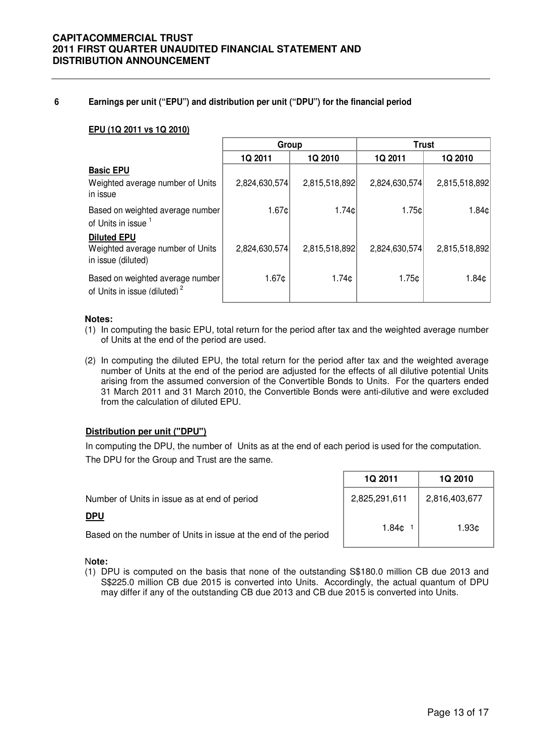#### **6 Earnings per unit ("EPU") and distribution per unit ("DPU") for the financial period**

#### **EPU (1Q 2011 vs 1Q 2010)**

|                                                                              | Group             |                    | <b>Trust</b>  |               |
|------------------------------------------------------------------------------|-------------------|--------------------|---------------|---------------|
|                                                                              | 1Q 2011           | 1Q 2010            | 1Q 2011       | 1Q 2010       |
| <b>Basic EPU</b><br>Weighted average number of Units<br>in issue             | 2,824,630,574     | 2,815,518,892      | 2,824,630,574 | 2,815,518,892 |
| Based on weighted average number<br>of Units in issue 1                      | 1.67c             | 1.74c              | 1.75c         | 1.84¢         |
| <b>Diluted EPU</b><br>Weighted average number of Units<br>in issue (diluted) | 2,824,630,574     | 2,815,518,892      | 2,824,630,574 | 2,815,518,892 |
| Based on weighted average number<br>of Units in issue (diluted) <sup>2</sup> | 1.67 <sub>¢</sub> | 1.74 <sub>CD</sub> | 1.75c         | 1.84¢         |

#### **Notes:**

- (1) In computing the basic EPU, total return for the period after tax and the weighted average number of Units at the end of the period are used.
- (2) In computing the diluted EPU, the total return for the period after tax and the weighted average number of Units at the end of the period are adjusted for the effects of all dilutive potential Units arising from the assumed conversion of the Convertible Bonds to Units. For the quarters ended 31 March 2011 and 31 March 2010, the Convertible Bonds were anti-dilutive and were excluded from the calculation of diluted EPU.

#### **Distribution per unit ("DPU")**

In computing the DPU, the number of Units as at the end of each period is used for the computation. The DPU for the Group and Trust are the same.

| Number of Units in issue as at end of period                   | 2,825,291,611 | 2,816,403,677 |
|----------------------------------------------------------------|---------------|---------------|
| <b>DPU</b>                                                     |               |               |
| Based on the number of Units in issue at the end of the period | 1.84¢         | 1.93¢         |
|                                                                |               |               |

Г

#### N**ote:**

(1) DPU is computed on the basis that none of the outstanding S\$180.0 million CB due 2013 and S\$225.0 million CB due 2015 is converted into Units. Accordingly, the actual quantum of DPU may differ if any of the outstanding CB due 2013 and CB due 2015 is converted into Units.

**1Q 2011 1Q 2010**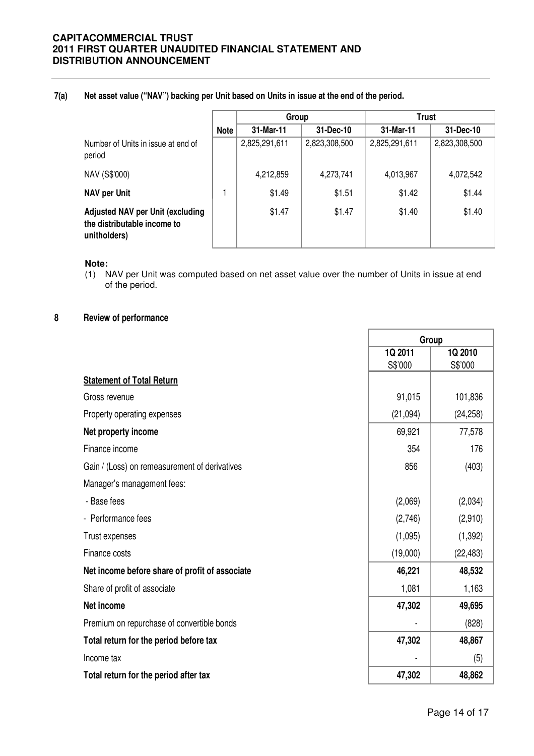**7(a) Net asset value ("NAV") backing per Unit based on Units in issue at the end of the period.**

|                                                                                        |             | Group         |               | <b>Trust</b>  |               |
|----------------------------------------------------------------------------------------|-------------|---------------|---------------|---------------|---------------|
|                                                                                        | <b>Note</b> | 31-Mar-11     | 31-Dec-10     | 31-Mar-11     | 31-Dec-10     |
| Number of Units in issue at end of<br>period                                           |             | 2,825,291,611 | 2,823,308,500 | 2,825,291,611 | 2,823,308,500 |
| NAV (S\$'000)                                                                          |             | 4,212,859     | 4,273,741     | 4,013,967     | 4,072,542     |
| <b>NAV per Unit</b>                                                                    |             | \$1.49        | \$1.51        | \$1.42        | \$1.44        |
| <b>Adjusted NAV per Unit (excluding</b><br>the distributable income to<br>unitholders) |             | \$1.47        | \$1.47        | \$1.40        | \$1.40        |

#### **Note:**

(1) NAV per Unit was computed based on net asset value over the number of Units in issue at end of the period.

### **8 Review of performance**

|                                                | Group    |           |
|------------------------------------------------|----------|-----------|
|                                                | 1Q 2011  | 1Q 2010   |
|                                                | S\$'000  | S\$'000   |
| <b>Statement of Total Return</b>               |          |           |
| Gross revenue                                  | 91,015   | 101,836   |
| Property operating expenses                    | (21,094) | (24, 258) |
| Net property income                            | 69,921   | 77,578    |
| Finance income                                 | 354      | 176       |
| Gain / (Loss) on remeasurement of derivatives  | 856      | (403)     |
| Manager's management fees:                     |          |           |
| - Base fees                                    | (2,069)  | (2,034)   |
| - Performance fees                             | (2,746)  | (2,910)   |
| Trust expenses                                 | (1,095)  | (1, 392)  |
| Finance costs                                  | (19,000) | (22, 483) |
| Net income before share of profit of associate | 46,221   | 48,532    |
| Share of profit of associate                   | 1,081    | 1,163     |
| Net income                                     | 47,302   | 49,695    |
| Premium on repurchase of convertible bonds     |          | (828)     |
| Total return for the period before tax         | 47,302   | 48,867    |
| Income tax                                     |          | (5)       |
| Total return for the period after tax          | 47,302   | 48,862    |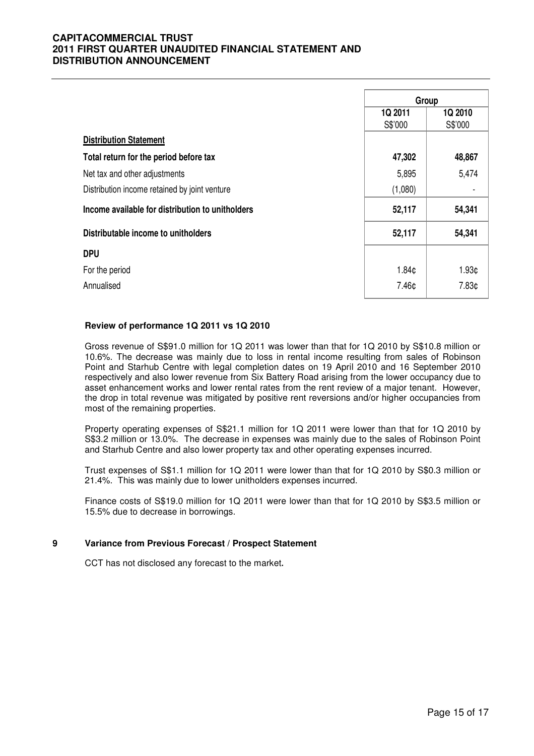|                                                  | Group             |                   |
|--------------------------------------------------|-------------------|-------------------|
|                                                  | 1Q 2011           | 1Q 2010           |
|                                                  | S\$'000           | S\$'000           |
| <b>Distribution Statement</b>                    |                   |                   |
| Total return for the period before tax           | 47,302            | 48,867            |
| Net tax and other adjustments                    | 5,895             | 5,474             |
| Distribution income retained by joint venture    | (1,080)           |                   |
| Income available for distribution to unitholders | 52,117            | 54,341            |
| Distributable income to unitholders              | 52,117            | 54,341            |
| <b>DPU</b>                                       |                   |                   |
| For the period                                   | 1.84 <sub>¢</sub> | 1.93 <sub>¢</sub> |
| Annualised                                       | 7.46¢             | 7.83¢             |

#### **Review of performance 1Q 2011 vs 1Q 2010**

 Gross revenue of S\$91.0 million for 1Q 2011 was lower than that for 1Q 2010 by S\$10.8 million or 10.6%. The decrease was mainly due to loss in rental income resulting from sales of Robinson Point and Starhub Centre with legal completion dates on 19 April 2010 and 16 September 2010 respectively and also lower revenue from Six Battery Road arising from the lower occupancy due to asset enhancement works and lower rental rates from the rent review of a major tenant. However, the drop in total revenue was mitigated by positive rent reversions and/or higher occupancies from most of the remaining properties.

Property operating expenses of S\$21.1 million for 1Q 2011 were lower than that for 1Q 2010 by S\$3.2 million or 13.0%. The decrease in expenses was mainly due to the sales of Robinson Point and Starhub Centre and also lower property tax and other operating expenses incurred.

Trust expenses of S\$1.1 million for 1Q 2011 were lower than that for 1Q 2010 by S\$0.3 million or 21.4%. This was mainly due to lower unitholders expenses incurred.

Finance costs of S\$19.0 million for 1Q 2011 were lower than that for 1Q 2010 by S\$3.5 million or 15.5% due to decrease in borrowings.

#### **9 Variance from Previous Forecast / Prospect Statement**

CCT has not disclosed any forecast to the market**.**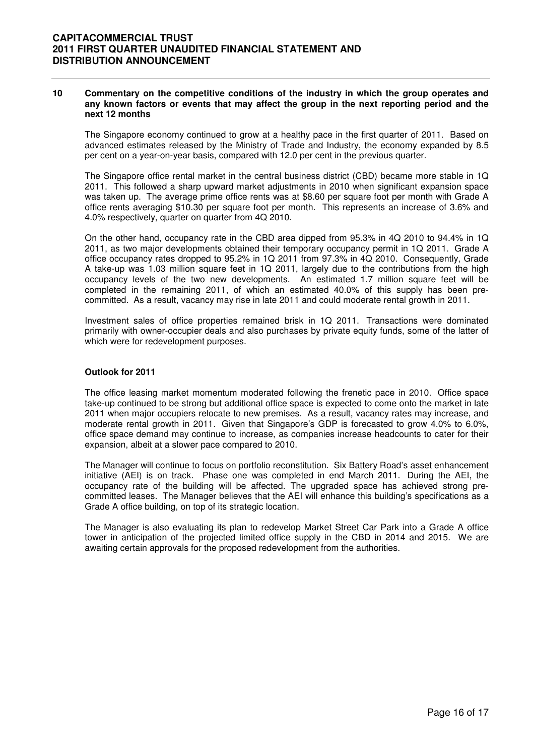#### **10 Commentary on the competitive conditions of the industry in which the group operates and any known factors or events that may affect the group in the next reporting period and the next 12 months**

The Singapore economy continued to grow at a healthy pace in the first quarter of 2011. Based on advanced estimates released by the Ministry of Trade and Industry, the economy expanded by 8.5 per cent on a year-on-year basis, compared with 12.0 per cent in the previous quarter.

The Singapore office rental market in the central business district (CBD) became more stable in 1Q 2011. This followed a sharp upward market adjustments in 2010 when significant expansion space was taken up. The average prime office rents was at \$8.60 per square foot per month with Grade A office rents averaging \$10.30 per square foot per month. This represents an increase of 3.6% and 4.0% respectively, quarter on quarter from 4Q 2010.

On the other hand, occupancy rate in the CBD area dipped from 95.3% in 4Q 2010 to 94.4% in 1Q 2011, as two major developments obtained their temporary occupancy permit in 1Q 2011. Grade A office occupancy rates dropped to 95.2% in 1Q 2011 from 97.3% in 4Q 2010. Consequently, Grade A take-up was 1.03 million square feet in 1Q 2011, largely due to the contributions from the high occupancy levels of the two new developments. An estimated 1.7 million square feet will be completed in the remaining 2011, of which an estimated 40.0% of this supply has been precommitted. As a result, vacancy may rise in late 2011 and could moderate rental growth in 2011.

Investment sales of office properties remained brisk in 1Q 2011. Transactions were dominated primarily with owner-occupier deals and also purchases by private equity funds, some of the latter of which were for redevelopment purposes.

#### **Outlook for 2011**

The office leasing market momentum moderated following the frenetic pace in 2010. Office space take-up continued to be strong but additional office space is expected to come onto the market in late 2011 when major occupiers relocate to new premises. As a result, vacancy rates may increase, and moderate rental growth in 2011. Given that Singapore's GDP is forecasted to grow 4.0% to 6.0%, office space demand may continue to increase, as companies increase headcounts to cater for their expansion, albeit at a slower pace compared to 2010.

The Manager will continue to focus on portfolio reconstitution. Six Battery Road's asset enhancement initiative (AEI) is on track. Phase one was completed in end March 2011. During the AEI, the occupancy rate of the building will be affected. The upgraded space has achieved strong precommitted leases. The Manager believes that the AEI will enhance this building's specifications as a Grade A office building, on top of its strategic location.

The Manager is also evaluating its plan to redevelop Market Street Car Park into a Grade A office tower in anticipation of the projected limited office supply in the CBD in 2014 and 2015. We are awaiting certain approvals for the proposed redevelopment from the authorities.